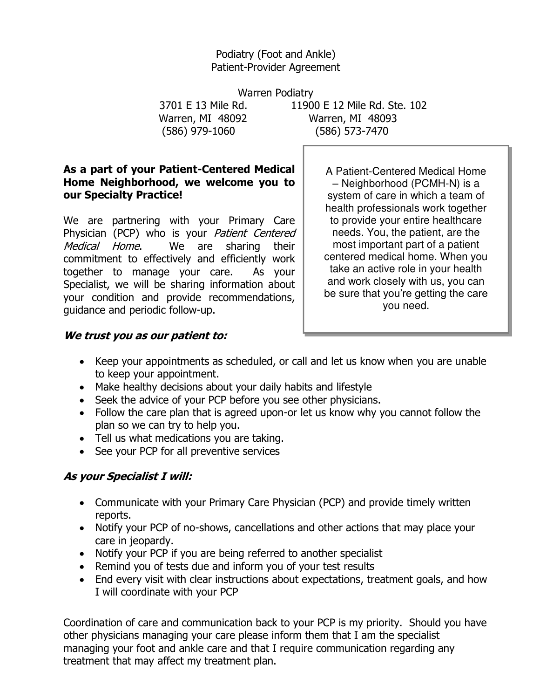### Podiatry (Foot and Ankle) Patient-Provider Agreement

Warren Podiatry (586) 979-1060 (586) 573-7470

 3701 E 13 Mile Rd. 11900 E 12 Mile Rd. Ste. 102 Warren, MI 48092 Warren, MI 48093

### **As a part of your Patient-Centered Medical Home Neighborhood, we welcome you to our Specialty Practice!**

We are partnering with your Primary Care Physician (PCP) who is your Patient Centered Medical Home. We are sharing their commitment to effectively and efficiently work together to manage your care. As your Specialist, we will be sharing information about your condition and provide recommendations, guidance and periodic follow-up.

A Patient-Centered Medical Home – Neighborhood (PCMH-N) is a system of care in which a team of health professionals work together to provide your entire healthcare needs. You, the patient, are the most important part of a patient centered medical home. When you take an active role in your health and work closely with us, you can be sure that you're getting the care you need.

## **We trust you as our patient to:**

- Keep your appointments as scheduled, or call and let us know when you are unable to keep your appointment.
- Make healthy decisions about your daily habits and lifestyle
- Seek the advice of your PCP before you see other physicians.
- Follow the care plan that is agreed upon-or let us know why you cannot follow the plan so we can try to help you.
- Tell us what medications you are taking.
- See your PCP for all preventive services

# **As your Specialist I will:**

- Communicate with your Primary Care Physician (PCP) and provide timely written reports.
- Notify your PCP of no-shows, cancellations and other actions that may place your care in jeopardy.
- Notify your PCP if you are being referred to another specialist
- Remind you of tests due and inform you of your test results
- End every visit with clear instructions about expectations, treatment goals, and how I will coordinate with your PCP

Coordination of care and communication back to your PCP is my priority. Should you have other physicians managing your care please inform them that I am the specialist managing your foot and ankle care and that I require communication regarding any treatment that may affect my treatment plan.